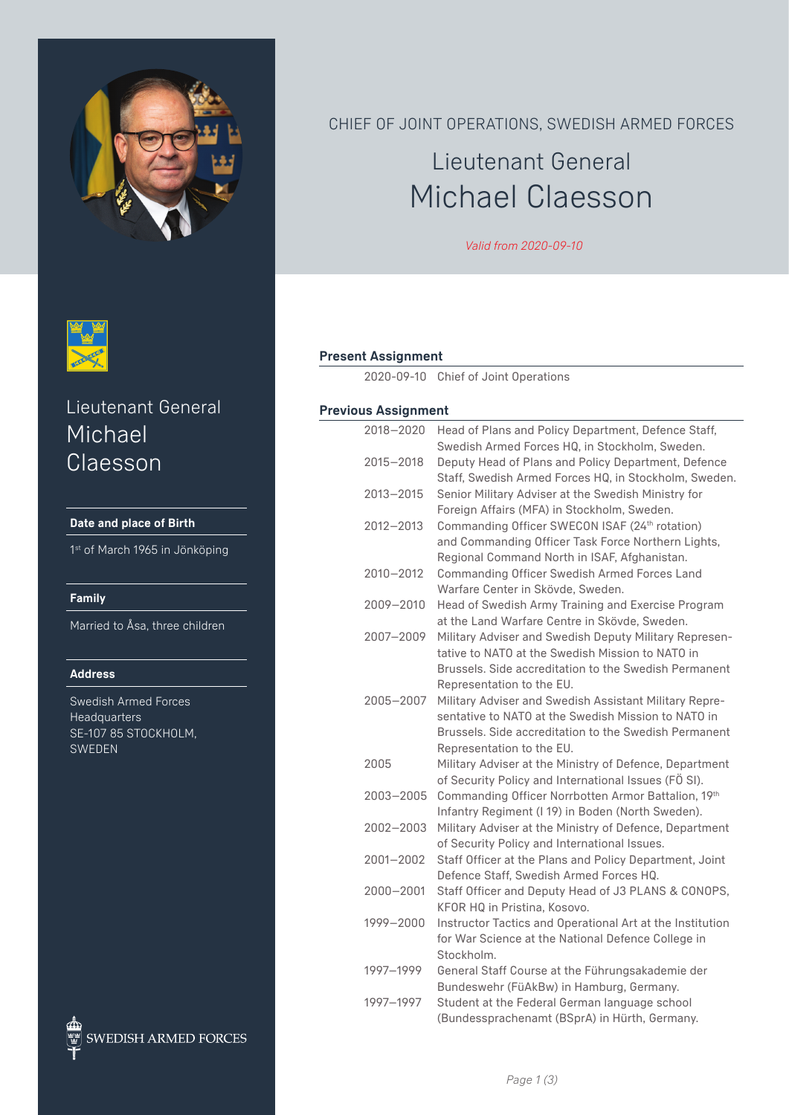



# Lieutenant General Michael Claesson

#### **Date and place of Birth**

1st of March 1965 in Jönköping

#### **Family**

Married to Åsa, three children

#### **Address**

Swedish Armed Forces **Headquarters** SE-107 85 STOCKHOLM, SWEDEN



CHIEF OF JOINT OPERATIONS, SWEDISH ARMED FORCES

# Lieutenant General Michael Claesson

*Valid from 2020-09-10*

#### **Present Assignment**

2020-09-10 Chief of Joint Operations

#### **Previous Assignment**

| 2018-2020 | Head of Plans and Policy Department, Defence Staff,<br>Swedish Armed Forces HQ, in Stockholm, Sweden.   |
|-----------|---------------------------------------------------------------------------------------------------------|
| 2015-2018 | Deputy Head of Plans and Policy Department, Defence                                                     |
|           | Staff, Swedish Armed Forces HQ, in Stockholm, Sweden.                                                   |
| 2013-2015 | Senior Military Adviser at the Swedish Ministry for                                                     |
|           | Foreign Affairs (MFA) in Stockholm, Sweden.                                                             |
| 2012-2013 | Commanding Officer SWECON ISAF (24th rotation)                                                          |
|           | and Commanding Officer Task Force Northern Lights,                                                      |
|           | Regional Command North in ISAF, Afghanistan.                                                            |
| 2010-2012 | <b>Commanding Officer Swedish Armed Forces Land</b>                                                     |
|           | Warfare Center in Skövde, Sweden.                                                                       |
| 2009-2010 | Head of Swedish Army Training and Exercise Program                                                      |
|           | at the Land Warfare Centre in Skövde, Sweden.                                                           |
| 2007-2009 | Military Adviser and Swedish Deputy Military Represen-                                                  |
|           | tative to NATO at the Swedish Mission to NATO in                                                        |
|           | Brussels. Side accreditation to the Swedish Permanent                                                   |
|           | Representation to the EU.                                                                               |
| 2005-2007 | Military Adviser and Swedish Assistant Military Repre-                                                  |
|           | sentative to NATO at the Swedish Mission to NATO in                                                     |
|           | Brussels. Side accreditation to the Swedish Permanent                                                   |
|           | Representation to the EU.                                                                               |
| 2005      | Military Adviser at the Ministry of Defence, Department                                                 |
|           | of Security Policy and International Issues (FÖ SI).                                                    |
| 2003-2005 | Commanding Officer Norrbotten Armor Battalion, 19th                                                     |
| 2002-2003 | Infantry Regiment (I 19) in Boden (North Sweden).                                                       |
|           | Military Adviser at the Ministry of Defence, Department<br>of Security Policy and International Issues. |
| 2001-2002 | Staff Officer at the Plans and Policy Department, Joint                                                 |
|           | Defence Staff, Swedish Armed Forces HQ.                                                                 |
| 2000-2001 | Staff Officer and Deputy Head of J3 PLANS & CONOPS,                                                     |
|           | KFOR HQ in Pristina, Kosovo.                                                                            |
| 1999-2000 | Instructor Tactics and Operational Art at the Institution                                               |
|           | for War Science at the National Defence College in                                                      |
|           | Stockholm.                                                                                              |
| 1997-1999 | General Staff Course at the Führungsakademie der                                                        |
|           | Bundeswehr (FüAkBw) in Hamburg, Germany.                                                                |
| 1997-1997 | Student at the Federal German language school                                                           |
|           | (Bundessprachenamt (BSprA) in Hürth, Germany.                                                           |
|           |                                                                                                         |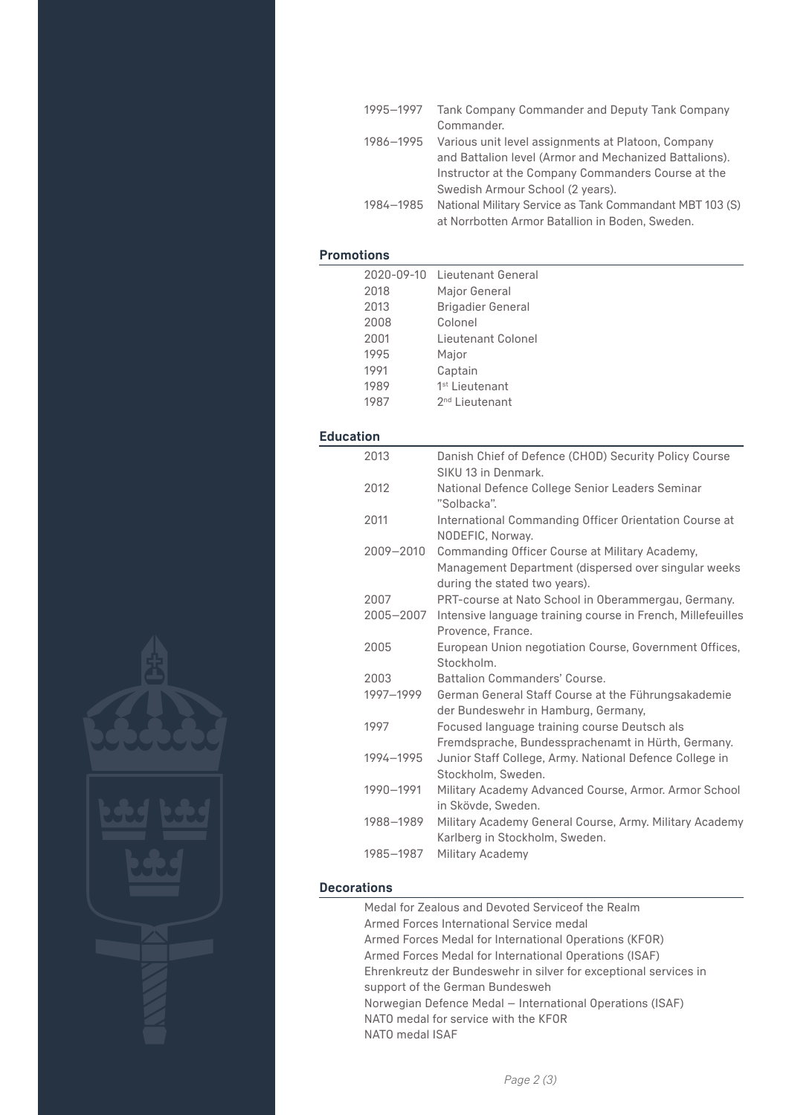| 1995-1997 | Tank Company Commander and Deputy Tank Company           |
|-----------|----------------------------------------------------------|
|           | Commander.                                               |
| 1986-1995 | Various unit level assignments at Platoon, Company       |
|           | and Battalion level (Armor and Mechanized Battalions).   |
|           | Instructor at the Company Commanders Course at the       |
|           | Swedish Armour School (2 years).                         |
| 1984-1985 | National Military Service as Tank Commandant MBT 103 (S) |
|           | at Norrbotten Armor Batallion in Boden, Sweden.          |

### **Promotions**

|                  | 2020-09-10<br>2018<br>2013<br>2008<br>2001<br>1995 | Lieutenant General<br>Major General<br><b>Brigadier General</b><br>Colonel<br>Lieutenant Colonel<br>Major                               |
|------------------|----------------------------------------------------|-----------------------------------------------------------------------------------------------------------------------------------------|
|                  | 1991                                               | Captain                                                                                                                                 |
|                  | 1989                                               | 1 <sup>st</sup> Lieutenant                                                                                                              |
|                  | 1987                                               | 2 <sup>nd</sup> Lieutenant                                                                                                              |
| <b>Education</b> |                                                    |                                                                                                                                         |
|                  | 2013                                               | Danish Chief of Defence (CHOD) Security Policy Course<br>SIKU 13 in Denmark.                                                            |
|                  | 2012                                               | National Defence College Senior Leaders Seminar<br>"Solbacka".                                                                          |
|                  | 2011                                               | International Commanding Officer Orientation Course at<br>NODEFIC, Norway.                                                              |
|                  | 2009-2010                                          | Commanding Officer Course at Military Academy,<br>Management Department (dispersed over singular weeks<br>during the stated two years). |
|                  | 2007<br>2005-2007                                  | PRT-course at Nato School in Oberammergau, Germany.<br>Intensive language training course in French, Millefeuilles<br>Provence, France. |
|                  | 2005                                               | European Union negotiation Course, Government Offices,<br>Stockholm.                                                                    |
|                  | 2003<br>1997-1999                                  | <b>Battalion Commanders' Course.</b><br>German General Staff Course at the Führungsakademie<br>der Bundeswehr in Hamburg, Germany,      |
|                  | 1997                                               | Focused language training course Deutsch als<br>Fremdsprache, Bundessprachenamt in Hürth, Germany.                                      |
|                  | 1994-1995                                          | Junior Staff College, Army. National Defence College in<br>Stockholm, Sweden.                                                           |
|                  | 1990-1991                                          | Military Academy Advanced Course, Armor. Armor School<br>in Skövde, Sweden.                                                             |
|                  | 1988-1989                                          | Military Academy General Course, Army. Military Academy<br>Karlberg in Stockholm, Sweden.                                               |
|                  | 1985-1987                                          | Military Academy                                                                                                                        |



| Medal for Zealous and Devoted Service of the Realm               |
|------------------------------------------------------------------|
| Armed Forces International Service medal                         |
| Armed Forces Medal for International Operations (KFOR)           |
| Armed Forces Medal for International Operations (ISAF)           |
| Ehrenkreutz der Bundeswehr in silver for exceptional services in |
| support of the German Bundesweh                                  |
| Norwegian Defence Medal – International Operations (ISAF)        |
| NATO medal for service with the KFOR                             |
| NATO medal ISAF                                                  |
|                                                                  |